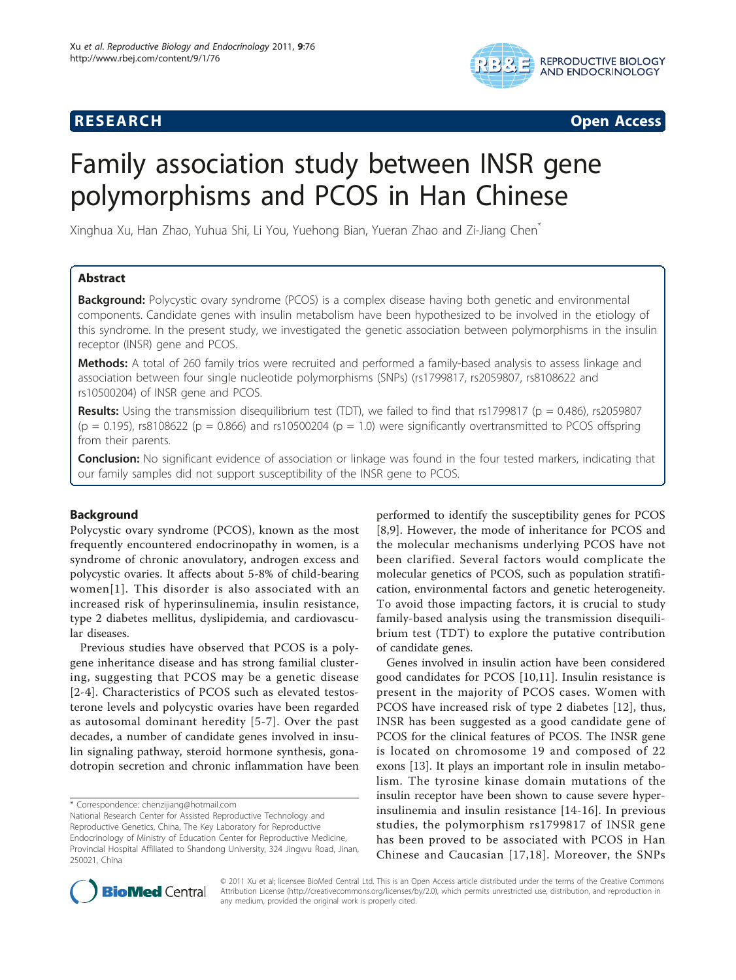# **RESEARCH CONSTRUCTION CONSTRUCTS**



# Family association study between INSR gene polymorphisms and PCOS in Han Chinese

Xinghua Xu, Han Zhao, Yuhua Shi, Li You, Yuehong Bian, Yueran Zhao and Zi-Jiang Chen\*

# Abstract

**Background:** Polycystic ovary syndrome (PCOS) is a complex disease having both genetic and environmental components. Candidate genes with insulin metabolism have been hypothesized to be involved in the etiology of this syndrome. In the present study, we investigated the genetic association between polymorphisms in the insulin receptor (INSR) gene and PCOS.

Methods: A total of 260 family trios were recruited and performed a family-based analysis to assess linkage and association between four single nucleotide polymorphisms (SNPs) (rs1799817, rs2059807, rs8108622 and rs10500204) of INSR gene and PCOS.

**Results:** Using the transmission disequilibrium test (TDT), we failed to find that rs1799817 ( $p = 0.486$ ), rs2059807  $(p = 0.195)$ , rs8108622 (p = 0.866) and rs10500204 (p = 1.0) were significantly overtransmitted to PCOS offspring from their parents.

Conclusion: No significant evidence of association or linkage was found in the four tested markers, indicating that our family samples did not support susceptibility of the INSR gene to PCOS.

# **Background**

Polycystic ovary syndrome (PCOS), known as the most frequently encountered endocrinopathy in women, is a syndrome of chronic anovulatory, androgen excess and polycystic ovaries. It affects about 5-8% of child-bearing women[[1\]](#page-3-0). This disorder is also associated with an increased risk of hyperinsulinemia, insulin resistance, type 2 diabetes mellitus, dyslipidemia, and cardiovascular diseases.

Previous studies have observed that PCOS is a polygene inheritance disease and has strong familial clustering, suggesting that PCOS may be a genetic disease [[2](#page-3-0)-[4\]](#page-3-0). Characteristics of PCOS such as elevated testosterone levels and polycystic ovaries have been regarded as autosomal dominant heredity [[5-7\]](#page-3-0). Over the past decades, a number of candidate genes involved in insulin signaling pathway, steroid hormone synthesis, gonadotropin secretion and chronic inflammation have been

\* Correspondence: [chenzijiang@hotmail.com](mailto:chenzijiang@hotmail.com)

performed to identify the susceptibility genes for PCOS [[8,9](#page-3-0)]. However, the mode of inheritance for PCOS and the molecular mechanisms underlying PCOS have not been clarified. Several factors would complicate the molecular genetics of PCOS, such as population stratification, environmental factors and genetic heterogeneity. To avoid those impacting factors, it is crucial to study family-based analysis using the transmission disequilibrium test (TDT) to explore the putative contribution of candidate genes.

Genes involved in insulin action have been considered good candidates for PCOS [[10,11\]](#page-3-0). Insulin resistance is present in the majority of PCOS cases. Women with PCOS have increased risk of type 2 diabetes [\[12](#page-3-0)], thus, INSR has been suggested as a good candidate gene of PCOS for the clinical features of PCOS. The INSR gene is located on chromosome 19 and composed of 22 exons [[13](#page-4-0)]. It plays an important role in insulin metabolism. The tyrosine kinase domain mutations of the insulin receptor have been shown to cause severe hyperinsulinemia and insulin resistance [[14](#page-4-0)-[16](#page-4-0)]. In previous studies, the polymorphism rs1799817 of INSR gene has been proved to be associated with PCOS in Han Chinese and Caucasian [[17,18\]](#page-4-0). Moreover, the SNPs



© 2011 Xu et al; licensee BioMed Central Ltd. This is an Open Access article distributed under the terms of the Creative Commons Attribution License [\(http://creativecommons.org/licenses/by/2.0](http://creativecommons.org/licenses/by/2.0)), which permits unrestricted use, distribution, and reproduction in any medium, provided the original work is properly cited.

National Research Center for Assisted Reproductive Technology and Reproductive Genetics, China, The Key Laboratory for Reproductive Endocrinology of Ministry of Education Center for Reproductive Medicine, Provincial Hospital Affiliated to Shandong University, 324 Jingwu Road, Jinan, 250021, China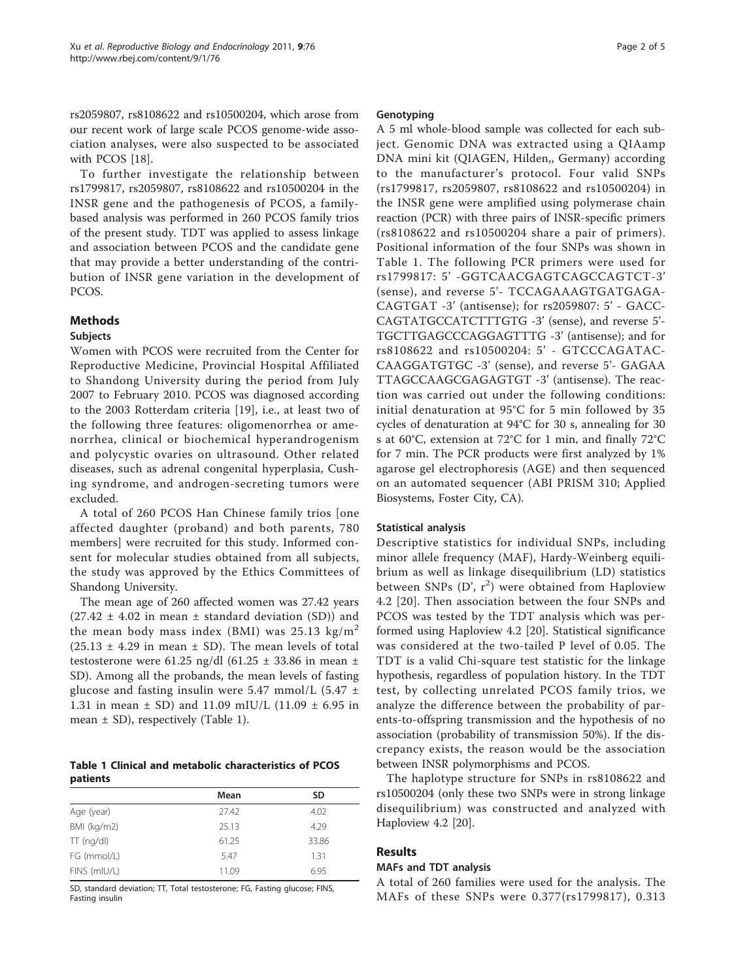rs2059807, rs8108622 and rs10500204, which arose from our recent work of large scale PCOS genome-wide association analyses, were also suspected to be associated with PCOS [[18\]](#page-4-0).

To further investigate the relationship between rs1799817, rs2059807, rs8108622 and rs10500204 in the INSR gene and the pathogenesis of PCOS, a familybased analysis was performed in 260 PCOS family trios of the present study. TDT was applied to assess linkage and association between PCOS and the candidate gene that may provide a better understanding of the contribution of INSR gene variation in the development of PCOS.

#### Methods

#### **Subjects**

Women with PCOS were recruited from the Center for Reproductive Medicine, Provincial Hospital Affiliated to Shandong University during the period from July 2007 to February 2010. PCOS was diagnosed according to the 2003 Rotterdam criteria [\[19](#page-4-0)], i.e., at least two of the following three features: oligomenorrhea or amenorrhea, clinical or biochemical hyperandrogenism and polycystic ovaries on ultrasound. Other related diseases, such as adrenal congenital hyperplasia, Cushing syndrome, and androgen-secreting tumors were excluded.

A total of 260 PCOS Han Chinese family trios [one affected daughter (proband) and both parents, 780 members] were recruited for this study. Informed consent for molecular studies obtained from all subjects, the study was approved by the Ethics Committees of Shandong University.

The mean age of 260 affected women was 27.42 years  $(27.42 \pm 4.02$  in mean  $\pm$  standard deviation (SD)) and the mean body mass index (BMI) was  $25.13 \text{ kg/m}^2$  $(25.13 \pm 4.29 \text{ in mean } \pm \text{ SD})$ . The mean levels of total testosterone were 61.25 ng/dl (61.25  $\pm$  33.86 in mean  $\pm$ SD). Among all the probands, the mean levels of fasting glucose and fasting insulin were 5.47 mmol/L  $(5.47 \pm$ 1.31 in mean  $\pm$  SD) and 11.09 mIU/L (11.09  $\pm$  6.95 in mean ± SD), respectively (Table 1).

### Table 1 Clinical and metabolic characteristics of PCOS patients

|              | Mean  | SD    |
|--------------|-------|-------|
| Age (year)   | 27.42 | 4.02  |
| BMI (kg/m2)  | 25.13 | 4.29  |
| $TT$ (ng/dl) | 61.25 | 33.86 |
| FG (mmol/L)  | 5.47  | 131   |
| FINS (mIU/L) | 11.09 | 6.95  |

SD, standard deviation; TT, Total testosterone; FG, Fasting glucose; FINS, Fasting insulin

#### Genotyping

A 5 ml whole-blood sample was collected for each subject. Genomic DNA was extracted using a QIAamp DNA mini kit (QIAGEN, Hilden,, Germany) according to the manufacturer's protocol. Four valid SNPs (rs1799817, rs2059807, rs8108622 and rs10500204) in the INSR gene were amplified using polymerase chain reaction (PCR) with three pairs of INSR-specific primers (rs8108622 and rs10500204 share a pair of primers). Positional information of the four SNPs was shown in Table 1. The following PCR primers were used for rs1799817: 5' -GGTCAACGAGTCAGCCAGTCT-3' (sense), and reverse 5'- TCCAGAAAGTGATGAGA-CAGTGAT -3' (antisense); for rs2059807: 5' - GACC-CAGTATGCCATCTTTGTG -3' (sense), and reverse 5'- TGCTTGAGCCCAGGAGTTTG -3' (antisense); and for rs8108622 and rs10500204: 5' - GTCCCAGATAC-CAAGGATGTGC -3' (sense), and reverse 5'- GAGAA TTAGCCAAGCGAGAGTGT -3' (antisense). The reaction was carried out under the following conditions: initial denaturation at 95°C for 5 min followed by 35 cycles of denaturation at 94°C for 30 s, annealing for 30 s at 60°C, extension at 72°C for 1 min, and finally 72°C for 7 min. The PCR products were first analyzed by 1% agarose gel electrophoresis (AGE) and then sequenced on an automated sequencer (ABI PRISM 310; Applied Biosystems, Foster City, CA).

# Statistical analysis

Descriptive statistics for individual SNPs, including minor allele frequency (MAF), Hardy-Weinberg equilibrium as well as linkage disequilibrium (LD) statistics between SNPs  $(D', r^2)$  were obtained from Haploview 4.2 [[20](#page-4-0)]. Then association between the four SNPs and PCOS was tested by the TDT analysis which was performed using Haploview 4.2 [[20\]](#page-4-0). Statistical significance was considered at the two-tailed P level of 0.05. The TDT is a valid Chi-square test statistic for the linkage hypothesis, regardless of population history. In the TDT test, by collecting unrelated PCOS family trios, we analyze the difference between the probability of parents-to-offspring transmission and the hypothesis of no association (probability of transmission 50%). If the discrepancy exists, the reason would be the association between INSR polymorphisms and PCOS.

The haplotype structure for SNPs in rs8108622 and rs10500204 (only these two SNPs were in strong linkage disequilibrium) was constructed and analyzed with Haploview 4.2 [\[20\]](#page-4-0).

# Results

#### MAFs and TDT analysis

A total of 260 families were used for the analysis. The MAFs of these SNPs were 0.377(rs1799817), 0.313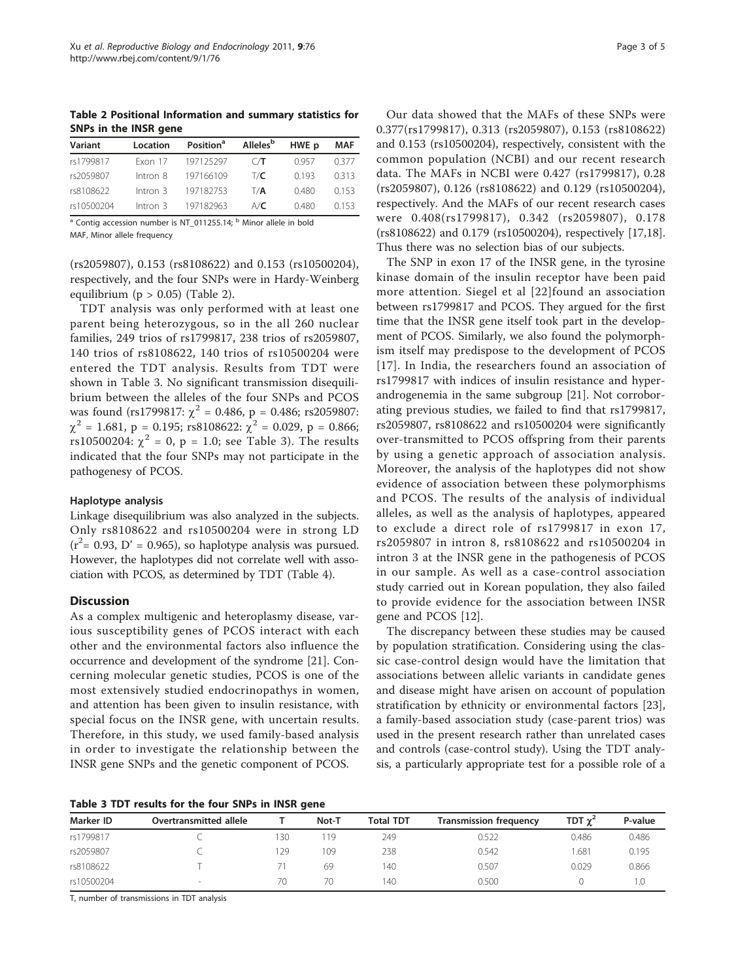Table 2 Positional Information and summary statistics for SNPs in the INSR gene

| Location<br>Variant |            | Position <sup>a</sup> | <b>Alleles</b> <sup>b</sup> | HWE p | <b>MAF</b> |
|---------------------|------------|-----------------------|-----------------------------|-------|------------|
| rs1799817           | Fxon 17    | 197125297             | C/T                         | 0957  | 0377       |
| rs2059807           | Intron 8   | 197166109             | T/C                         | 0.193 | 0313       |
| rs8108622           | $Intron$ 3 | 197182753             | T/A                         | 0.480 | 0153       |
| rs10500204          | Intron $3$ | 197182963             | A/C                         | 0.480 | 0153       |

 $a$  Contig accession number is NT\_011255.14;  $b$  Minor allele in bold MAF, Minor allele frequency

(rs2059807), 0.153 (rs8108622) and 0.153 (rs10500204), respectively, and the four SNPs were in Hardy-Weinberg equilibrium ( $p > 0.05$ ) (Table 2).

TDT analysis was only performed with at least one parent being heterozygous, so in the all 260 nuclear families, 249 trios of rs1799817, 238 trios of rs2059807, 140 trios of rs8108622, 140 trios of rs10500204 were entered the TDT analysis. Results from TDT were shown in Table 3. No significant transmission disequilibrium between the alleles of the four SNPs and PCOS was found (rs1799817:  $\chi^2$  = 0.486, p = 0.486; rs2059807:  $\chi^2$  = 1.681, p = 0.195; rs8108622:  $\chi^2$  = 0.029, p = 0.866; rs10500204:  $\chi^2$  = 0, p = 1.0; see Table 3). The results indicated that the four SNPs may not participate in the pathogenesy of PCOS.

#### Haplotype analysis

Linkage disequilibrium was also analyzed in the subjects. Only rs8108622 and rs10500204 were in strong LD  $(r^2 = 0.93, D' = 0.965)$ , so haplotype analysis was pursued. However, the haplotypes did not correlate well with association with PCOS, as determined by TDT (Table [4\)](#page-3-0).

# **Discussion**

As a complex multigenic and heteroplasmy disease, various susceptibility genes of PCOS interact with each other and the environmental factors also influence the occurrence and development of the syndrome [[21](#page-4-0)]. Concerning molecular genetic studies, PCOS is one of the most extensively studied endocrinopathys in women, and attention has been given to insulin resistance, with special focus on the INSR gene, with uncertain results. Therefore, in this study, we used family-based analysis in order to investigate the relationship between the INSR gene SNPs and the genetic component of PCOS.

Table 3 TDT results for the four SNPs in INSR gene

Our data showed that the MAFs of these SNPs were 0.377(rs1799817), 0.313 (rs2059807), 0.153 (rs8108622) and 0.153 (rs10500204), respectively, consistent with the common population (NCBI) and our recent research data. The MAFs in NCBI were 0.427 (rs1799817), 0.28 (rs2059807), 0.126 (rs8108622) and 0.129 (rs10500204), respectively. And the MAFs of our recent research cases were 0.408(rs1799817), 0.342 (rs2059807), 0.178 (rs8108622) and 0.179 (rs10500204), respectively [[17](#page-4-0),[18](#page-4-0)]. Thus there was no selection bias of our subjects.

The SNP in exon 17 of the INSR gene, in the tyrosine kinase domain of the insulin receptor have been paid more attention. Siegel et al [[22\]](#page-4-0)found an association between rs1799817 and PCOS. They argued for the first time that the INSR gene itself took part in the development of PCOS. Similarly, we also found the polymorphism itself may predispose to the development of PCOS [[17](#page-4-0)]. In India, the researchers found an association of rs1799817 with indices of insulin resistance and hyperandrogenemia in the same subgroup [[21\]](#page-4-0). Not corroborating previous studies, we failed to find that rs1799817, rs2059807, rs8108622 and rs10500204 were significantly over-transmitted to PCOS offspring from their parents by using a genetic approach of association analysis. Moreover, the analysis of the haplotypes did not show evidence of association between these polymorphisms and PCOS. The results of the analysis of individual alleles, as well as the analysis of haplotypes, appeared to exclude a direct role of rs1799817 in exon 17, rs2059807 in intron 8, rs8108622 and rs10500204 in intron 3 at the INSR gene in the pathogenesis of PCOS in our sample. As well as a case-control association study carried out in Korean population, they also failed to provide evidence for the association between INSR gene and PCOS [\[12\]](#page-3-0).

The discrepancy between these studies may be caused by population stratification. Considering using the classic case-control design would have the limitation that associations between allelic variants in candidate genes and disease might have arisen on account of population stratification by ethnicity or environmental factors [\[23](#page-4-0)], a family-based association study (case-parent trios) was used in the present research rather than unrelated cases and controls (case-control study). Using the TDT analysis, a particularly appropriate test for a possible role of a

| Marker ID  | Overtransmitted allele |     | Not-T | <b>Total TDT</b> | <b>Transmission frequency</b> | TDT $\gamma^2$ | P-value |
|------------|------------------------|-----|-------|------------------|-------------------------------|----------------|---------|
| rs1799817  |                        | 130 | 19    | 249              | 0.522                         | 0.486          | 0.486   |
| rs2059807  |                        | 129 | 109   | 238              | 0.542                         | .681           | 0.195   |
| rs8108622  |                        |     | 69    | 140              | 0.507                         | 0.029          | 0.866   |
| rs10500204 | $\sim$                 | 70  | 70    | 140              | 0.500                         |                |         |

T, number of transmissions in TDT analysis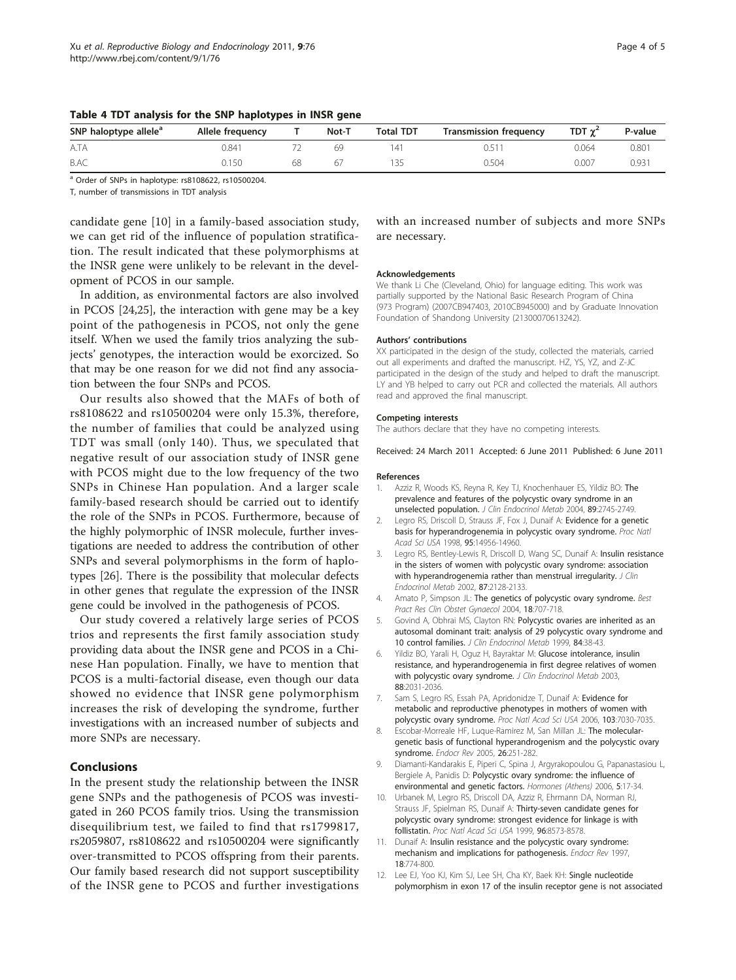| SNP haloptype allele <sup>a</sup> | Allele frequency |    | Not-T | <b>Total TDT</b> | <b>Transmission frequency</b> | TDT $\gamma^2$ | <sup>o</sup> -value |
|-----------------------------------|------------------|----|-------|------------------|-------------------------------|----------------|---------------------|
| A.TA                              | 0.84             |    | 69    | ⊥                | ).51                          | 0.064          | 0.801               |
| <b>B.AC</b>                       | .15C             | 68 | 6,    |                  | 0.504                         | 0.007          | 0.931               |

<span id="page-3-0"></span>Table 4 TDT analysis for the SNP haplotypes in INSR gene

<sup>a</sup> Order of SNPs in haplotype: rs8108622, rs10500204.

T, number of transmissions in TDT analysis

candidate gene [10] in a family-based association study, we can get rid of the influence of population stratification. The result indicated that these polymorphisms at the INSR gene were unlikely to be relevant in the development of PCOS in our sample.

In addition, as environmental factors are also involved in PCOS [\[24,25\]](#page-4-0), the interaction with gene may be a key point of the pathogenesis in PCOS, not only the gene itself. When we used the family trios analyzing the subjects' genotypes, the interaction would be exorcized. So that may be one reason for we did not find any association between the four SNPs and PCOS.

Our results also showed that the MAFs of both of rs8108622 and rs10500204 were only 15.3%, therefore, the number of families that could be analyzed using TDT was small (only 140). Thus, we speculated that negative result of our association study of INSR gene with PCOS might due to the low frequency of the two SNPs in Chinese Han population. And a larger scale family-based research should be carried out to identify the role of the SNPs in PCOS. Furthermore, because of the highly polymorphic of INSR molecule, further investigations are needed to address the contribution of other SNPs and several polymorphisms in the form of haplotypes [[26\]](#page-4-0). There is the possibility that molecular defects in other genes that regulate the expression of the INSR gene could be involved in the pathogenesis of PCOS.

Our study covered a relatively large series of PCOS trios and represents the first family association study providing data about the INSR gene and PCOS in a Chinese Han population. Finally, we have to mention that PCOS is a multi-factorial disease, even though our data showed no evidence that INSR gene polymorphism increases the risk of developing the syndrome, further investigations with an increased number of subjects and more SNPs are necessary.

#### Conclusions

In the present study the relationship between the INSR gene SNPs and the pathogenesis of PCOS was investigated in 260 PCOS family trios. Using the transmission disequilibrium test, we failed to find that rs1799817, rs2059807, rs8108622 and rs10500204 were significantly over-transmitted to PCOS offspring from their parents. Our family based research did not support susceptibility of the INSR gene to PCOS and further investigations

with an increased number of subjects and more SNPs are necessary.

#### Acknowledgements

We thank Li Che (Cleveland, Ohio) for language editing. This work was partially supported by the National Basic Research Program of China (973 Program) (2007CB947403, 2010CB945000) and by Graduate Innovation Foundation of Shandong University (21300070613242).

#### Authors' contributions

XX participated in the design of the study, collected the materials, carried out all experiments and drafted the manuscript. HZ, YS, YZ, and Z-JC participated in the design of the study and helped to draft the manuscript. LY and YB helped to carry out PCR and collected the materials. All authors read and approved the final manuscript.

#### Competing interests

The authors declare that they have no competing interests.

#### Received: 24 March 2011 Accepted: 6 June 2011 Published: 6 June 2011

#### References

- 1. Azziz R, Woods KS, Reyna R, Key TJ, Knochenhauer ES, Yildiz BO: [The](http://www.ncbi.nlm.nih.gov/pubmed/15181052?dopt=Abstract) [prevalence and features of the polycystic ovary syndrome in an](http://www.ncbi.nlm.nih.gov/pubmed/15181052?dopt=Abstract) [unselected population.](http://www.ncbi.nlm.nih.gov/pubmed/15181052?dopt=Abstract) J Clin Endocrinol Metab 2004, 89:2745-2749.
- 2. Legro RS, Driscoll D, Strauss JF, Fox J, Dunaif A: [Evidence for a genetic](http://www.ncbi.nlm.nih.gov/pubmed/9843997?dopt=Abstract) [basis for hyperandrogenemia in polycystic ovary syndrome.](http://www.ncbi.nlm.nih.gov/pubmed/9843997?dopt=Abstract) Proc Natl Acad Sci USA 1998, 95:14956-14960.
- 3. Legro RS, Bentley-Lewis R, Driscoll D, Wang SC, Dunaif A: [Insulin resistance](http://www.ncbi.nlm.nih.gov/pubmed/11994352?dopt=Abstract) [in the sisters of women with polycystic ovary syndrome: association](http://www.ncbi.nlm.nih.gov/pubmed/11994352?dopt=Abstract) [with hyperandrogenemia rather than menstrual irregularity.](http://www.ncbi.nlm.nih.gov/pubmed/11994352?dopt=Abstract) J Clin Endocrinol Metab 2002, 87:2128-2133.
- 4. Amato P, Simpson JL: [The genetics of polycystic ovary syndrome.](http://www.ncbi.nlm.nih.gov/pubmed/15380142?dopt=Abstract) Best Pract Res Clin Obstet Gynaecol 2004, 18:707-718.
- 5. Govind A, Obhrai MS, Clayton RN: [Polycystic ovaries are inherited as an](http://www.ncbi.nlm.nih.gov/pubmed/9920059?dopt=Abstract) [autosomal dominant trait: analysis of 29 polycystic ovary syndrome and](http://www.ncbi.nlm.nih.gov/pubmed/9920059?dopt=Abstract) [10 control families.](http://www.ncbi.nlm.nih.gov/pubmed/9920059?dopt=Abstract) J Clin Endocrinol Metab 1999, 84:38-43.
- 6. Yildiz BO, Yarali H, Oguz H, Bayraktar M: [Glucose intolerance, insulin](http://www.ncbi.nlm.nih.gov/pubmed/12727950?dopt=Abstract) [resistance, and hyperandrogenemia in first degree relatives of women](http://www.ncbi.nlm.nih.gov/pubmed/12727950?dopt=Abstract) [with polycystic ovary syndrome.](http://www.ncbi.nlm.nih.gov/pubmed/12727950?dopt=Abstract) J Clin Endocrinol Metab 2003, 88:2031-2036.
- 7. Sam S, Legro RS, Essah PA, Apridonidze T, Dunaif A: [Evidence for](http://www.ncbi.nlm.nih.gov/pubmed/16632599?dopt=Abstract) [metabolic and reproductive phenotypes in mothers of women with](http://www.ncbi.nlm.nih.gov/pubmed/16632599?dopt=Abstract) [polycystic ovary syndrome.](http://www.ncbi.nlm.nih.gov/pubmed/16632599?dopt=Abstract) Proc Natl Acad Sci USA 2006, 103:7030-7035.
- 8. Escobar-Morreale HF, Luque-Ramirez M, San Millan JL: [The molecular](http://www.ncbi.nlm.nih.gov/pubmed/15561799?dopt=Abstract)[genetic basis of functional hyperandrogenism and the polycystic ovary](http://www.ncbi.nlm.nih.gov/pubmed/15561799?dopt=Abstract) [syndrome.](http://www.ncbi.nlm.nih.gov/pubmed/15561799?dopt=Abstract) Endocr Rev 2005, 26:251-282.
- 9. Diamanti-Kandarakis E, Piperi C, Spina J, Argyrakopoulou G, Papanastasiou L, Bergiele A, Panidis D: Polycystic ovary syndrome: the influence of environmental and genetic factors. Hormones (Athens) 2006, 5:17-34.
- 10. Urbanek M, Legro RS, Driscoll DA, Azziz R, Ehrmann DA, Norman RJ, Strauss JF, Spielman RS, Dunaif A: [Thirty-seven candidate genes for](http://www.ncbi.nlm.nih.gov/pubmed/10411917?dopt=Abstract) [polycystic ovary syndrome: strongest evidence for linkage is with](http://www.ncbi.nlm.nih.gov/pubmed/10411917?dopt=Abstract) [follistatin.](http://www.ncbi.nlm.nih.gov/pubmed/10411917?dopt=Abstract) Proc Natl Acad Sci USA 1999, 96:8573-8578.
- 11. Dunaif A: [Insulin resistance and the polycystic ovary syndrome:](http://www.ncbi.nlm.nih.gov/pubmed/9408743?dopt=Abstract) [mechanism and implications for pathogenesis.](http://www.ncbi.nlm.nih.gov/pubmed/9408743?dopt=Abstract) Endocr Rev 1997, 18:774-800.
- 12. Lee EJ, Yoo KJ, Kim SJ, Lee SH, Cha KY, Baek KH: [Single nucleotide](http://www.ncbi.nlm.nih.gov/pubmed/16806206?dopt=Abstract) [polymorphism in exon 17 of the insulin receptor gene is not associated](http://www.ncbi.nlm.nih.gov/pubmed/16806206?dopt=Abstract)